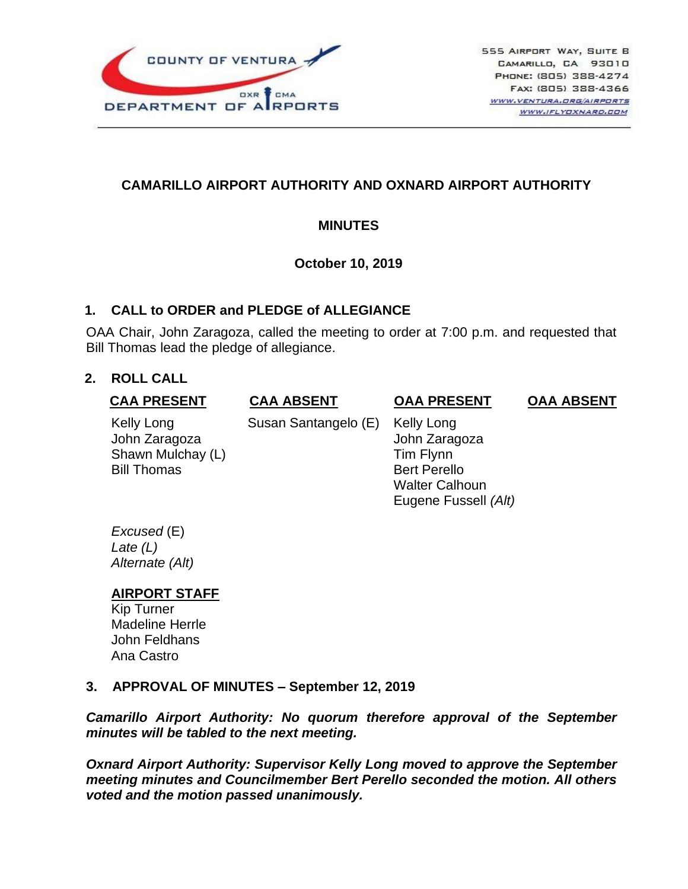

# **CAMARILLO AIRPORT AUTHORITY AND OXNARD AIRPORT AUTHORITY**

### **MINUTES**

### **October 10, 2019**

### **1. CALL to ORDER and PLEDGE of ALLEGIANCE**

OAA Chair, John Zaragoza, called the meeting to order at 7:00 p.m. and requested that Bill Thomas lead the pledge of allegiance.

### **2. ROLL CALL**

### **CAA PRESENT**

# **CAA ABSENT**

#### Kelly Long John Zaragoza Shawn Mulchay (L) Bill Thomas

Susan Santangelo (E) Kelly Long

### **OAA PRESENT**

**OAA ABSENT**

 John Zaragoza Tim Flynn Bert Perello Walter Calhoun Eugene Fussell *(Alt)*

*Excused* (E) *Late (L) Alternate (Alt)*

### **AIRPORT STAFF**

Kip Turner Madeline Herrle John Feldhans Ana Castro

### **3. APPROVAL OF MINUTES – September 12, 2019**

*Camarillo Airport Authority: No quorum therefore approval of the September minutes will be tabled to the next meeting.*

*Oxnard Airport Authority: Supervisor Kelly Long moved to approve the September meeting minutes and Councilmember Bert Perello seconded the motion. All others voted and the motion passed unanimously.*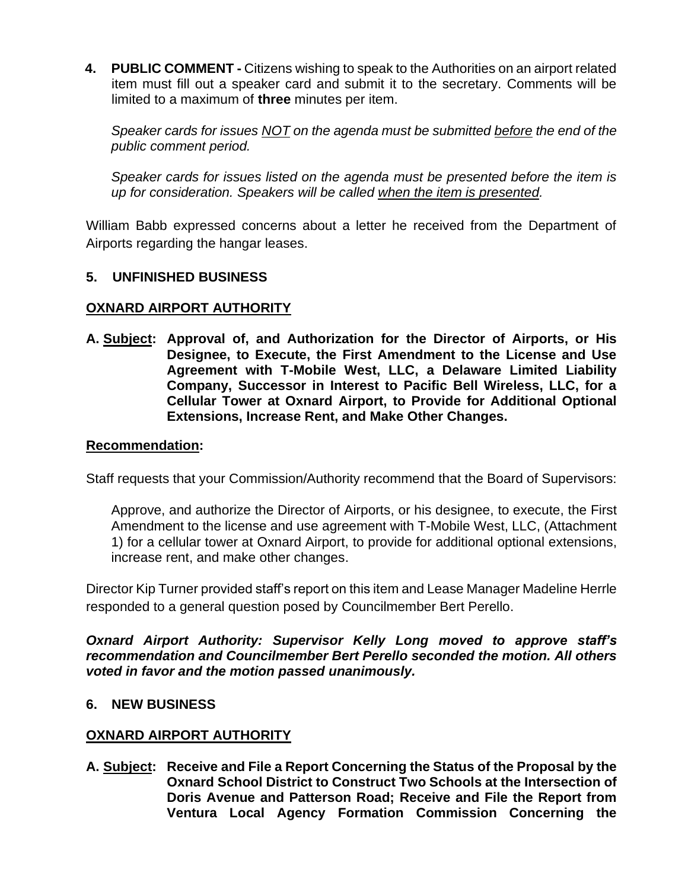**4. PUBLIC COMMENT -** Citizens wishing to speak to the Authorities on an airport related item must fill out a speaker card and submit it to the secretary. Comments will be limited to a maximum of **three** minutes per item.

*Speaker cards for issues NOT on the agenda must be submitted before the end of the public comment period.* 

*Speaker cards for issues listed on the agenda must be presented before the item is up for consideration. Speakers will be called when the item is presented.*

William Babb expressed concerns about a letter he received from the Department of Airports regarding the hangar leases.

### **5. UNFINISHED BUSINESS**

### **OXNARD AIRPORT AUTHORITY**

**A. Subject: Approval of, and Authorization for the Director of Airports, or His Designee, to Execute, the First Amendment to the License and Use Agreement with T-Mobile West, LLC, a Delaware Limited Liability Company, Successor in Interest to Pacific Bell Wireless, LLC, for a Cellular Tower at Oxnard Airport, to Provide for Additional Optional Extensions, Increase Rent, and Make Other Changes.**

#### **Recommendation:**

Staff requests that your Commission/Authority recommend that the Board of Supervisors:

Approve, and authorize the Director of Airports, or his designee, to execute, the First Amendment to the license and use agreement with T-Mobile West, LLC, (Attachment 1) for a cellular tower at Oxnard Airport, to provide for additional optional extensions, increase rent, and make other changes.

Director Kip Turner provided staff's report on this item and Lease Manager Madeline Herrle responded to a general question posed by Councilmember Bert Perello.

*Oxnard Airport Authority: Supervisor Kelly Long moved to approve staff's recommendation and Councilmember Bert Perello seconded the motion. All others voted in favor and the motion passed unanimously.*

### **6. NEW BUSINESS**

### **OXNARD AIRPORT AUTHORITY**

**A. Subject: Receive and File a Report Concerning the Status of the Proposal by the Oxnard School District to Construct Two Schools at the Intersection of Doris Avenue and Patterson Road; Receive and File the Report from Ventura Local Agency Formation Commission Concerning the**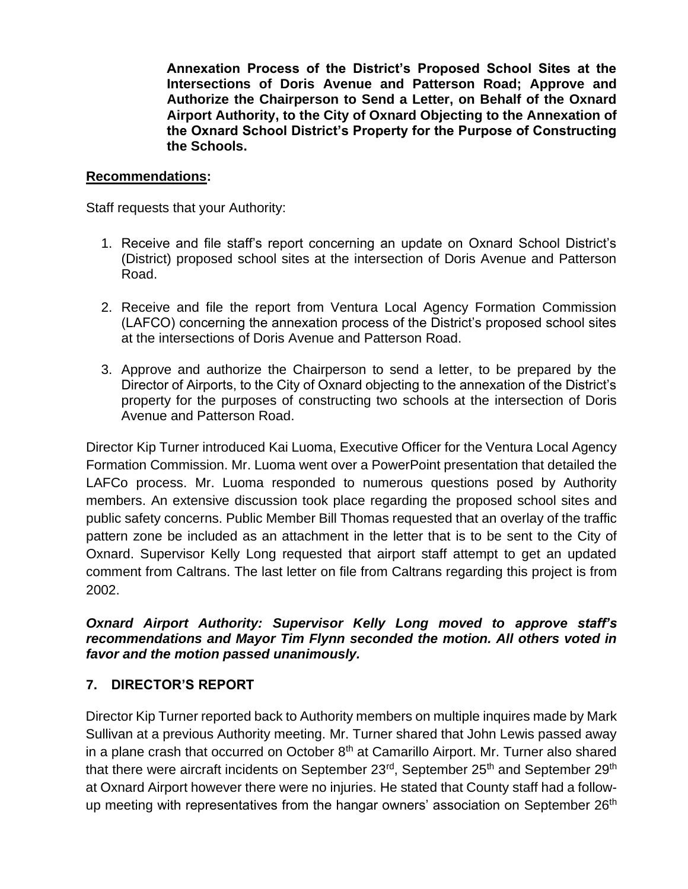**Annexation Process of the District's Proposed School Sites at the Intersections of Doris Avenue and Patterson Road; Approve and Authorize the Chairperson to Send a Letter, on Behalf of the Oxnard Airport Authority, to the City of Oxnard Objecting to the Annexation of the Oxnard School District's Property for the Purpose of Constructing the Schools.**

### **Recommendations:**

Staff requests that your Authority:

- 1. Receive and file staff's report concerning an update on Oxnard School District's (District) proposed school sites at the intersection of Doris Avenue and Patterson Road.
- 2. Receive and file the report from Ventura Local Agency Formation Commission (LAFCO) concerning the annexation process of the District's proposed school sites at the intersections of Doris Avenue and Patterson Road.
- 3. Approve and authorize the Chairperson to send a letter, to be prepared by the Director of Airports, to the City of Oxnard objecting to the annexation of the District's property for the purposes of constructing two schools at the intersection of Doris Avenue and Patterson Road.

Director Kip Turner introduced Kai Luoma, Executive Officer for the Ventura Local Agency Formation Commission. Mr. Luoma went over a PowerPoint presentation that detailed the LAFCo process. Mr. Luoma responded to numerous questions posed by Authority members. An extensive discussion took place regarding the proposed school sites and public safety concerns. Public Member Bill Thomas requested that an overlay of the traffic pattern zone be included as an attachment in the letter that is to be sent to the City of Oxnard. Supervisor Kelly Long requested that airport staff attempt to get an updated comment from Caltrans. The last letter on file from Caltrans regarding this project is from 2002.

### *Oxnard Airport Authority: Supervisor Kelly Long moved to approve staff's recommendations and Mayor Tim Flynn seconded the motion. All others voted in favor and the motion passed unanimously.*

## **7. DIRECTOR'S REPORT**

Director Kip Turner reported back to Authority members on multiple inquires made by Mark Sullivan at a previous Authority meeting. Mr. Turner shared that John Lewis passed away in a plane crash that occurred on October  $8<sup>th</sup>$  at Camarillo Airport. Mr. Turner also shared that there were aircraft incidents on September 23<sup>rd</sup>, September 25<sup>th</sup> and September 29<sup>th</sup> at Oxnard Airport however there were no injuries. He stated that County staff had a followup meeting with representatives from the hangar owners' association on September 26<sup>th</sup>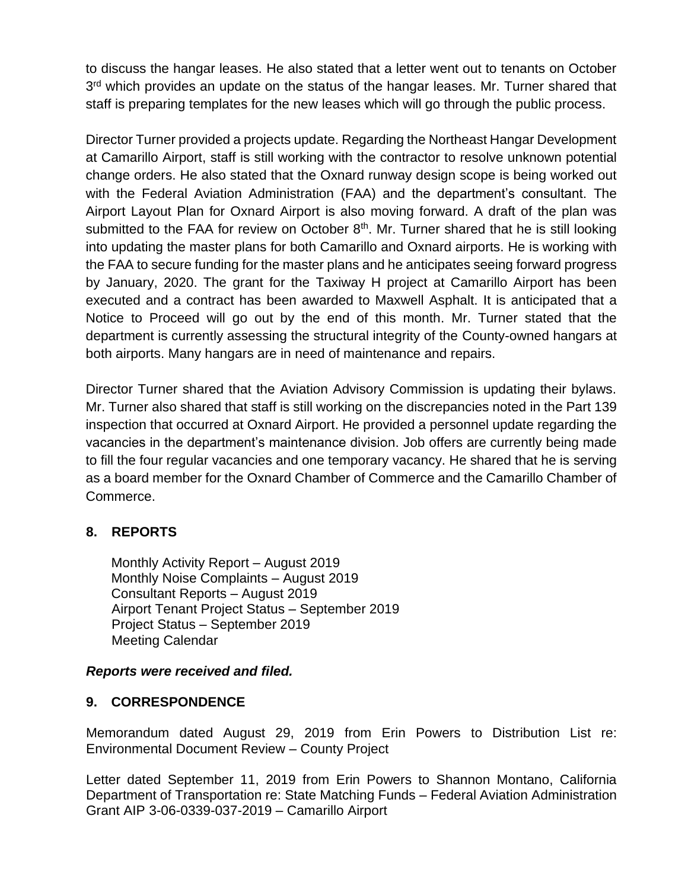to discuss the hangar leases. He also stated that a letter went out to tenants on October 3<sup>rd</sup> which provides an update on the status of the hangar leases. Mr. Turner shared that staff is preparing templates for the new leases which will go through the public process.

Director Turner provided a projects update. Regarding the Northeast Hangar Development at Camarillo Airport, staff is still working with the contractor to resolve unknown potential change orders. He also stated that the Oxnard runway design scope is being worked out with the Federal Aviation Administration (FAA) and the department's consultant. The Airport Layout Plan for Oxnard Airport is also moving forward. A draft of the plan was submitted to the FAA for review on October  $8<sup>th</sup>$ . Mr. Turner shared that he is still looking into updating the master plans for both Camarillo and Oxnard airports. He is working with the FAA to secure funding for the master plans and he anticipates seeing forward progress by January, 2020. The grant for the Taxiway H project at Camarillo Airport has been executed and a contract has been awarded to Maxwell Asphalt. It is anticipated that a Notice to Proceed will go out by the end of this month. Mr. Turner stated that the department is currently assessing the structural integrity of the County-owned hangars at both airports. Many hangars are in need of maintenance and repairs.

Director Turner shared that the Aviation Advisory Commission is updating their bylaws. Mr. Turner also shared that staff is still working on the discrepancies noted in the Part 139 inspection that occurred at Oxnard Airport. He provided a personnel update regarding the vacancies in the department's maintenance division. Job offers are currently being made to fill the four regular vacancies and one temporary vacancy. He shared that he is serving as a board member for the Oxnard Chamber of Commerce and the Camarillo Chamber of Commerce.

## **8. REPORTS**

Monthly Activity Report – August 2019 Monthly Noise Complaints – August 2019 Consultant Reports – August 2019 Airport Tenant Project Status – September 2019 Project Status – September 2019 Meeting Calendar

## *Reports were received and filed.*

## **9. CORRESPONDENCE**

Memorandum dated August 29, 2019 from Erin Powers to Distribution List re: Environmental Document Review – County Project

Letter dated September 11, 2019 from Erin Powers to Shannon Montano, California Department of Transportation re: State Matching Funds – Federal Aviation Administration Grant AIP 3-06-0339-037-2019 – Camarillo Airport